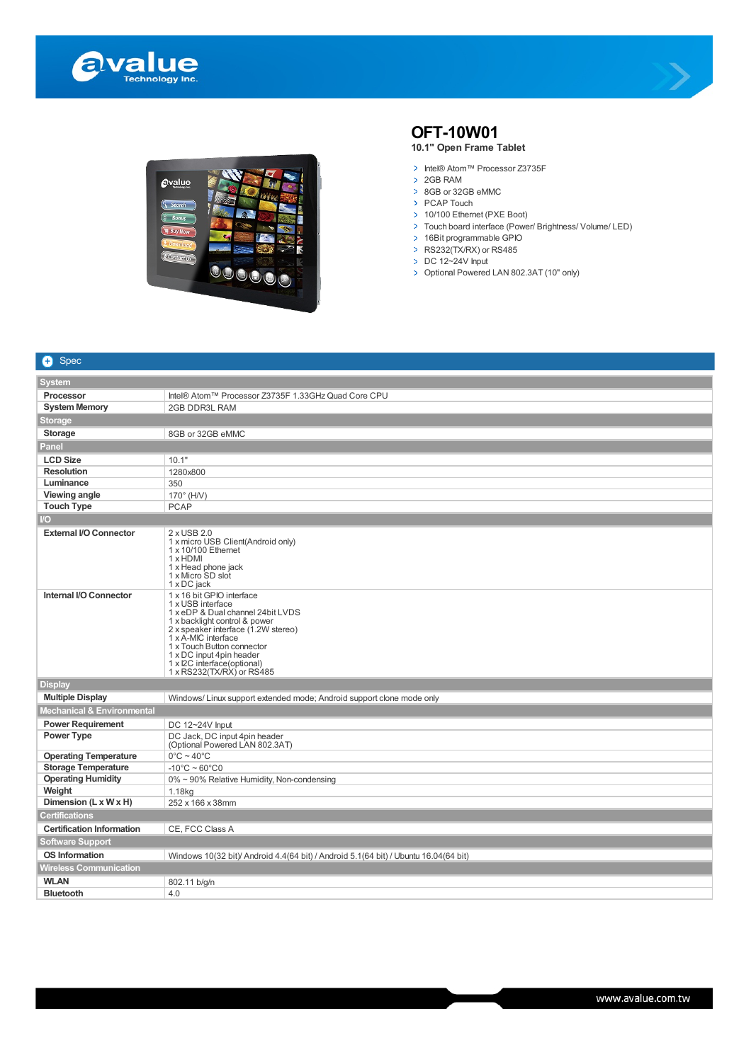





## **OFT-10W01**

## **10.1" Open Frame Tablet**

- > Intel® Atom™ Processor Z3735F
- > 2GB RAM
- > 8GB or 32GB eMMC
- > PCAP Touch
- > 10/100 Ethernet (PXE Boot)
- > Touch board interface (Power/ Brightness/ Volume/ LED)
- 16Bit programmable GPIO
- RS232(TX/RX) or RS485
- $\triangleright$  DC 12~24V Input
- > Optional Powered LAN 802.3AT (10" only)

| $\bullet$<br>Spec                |                                                                                                                                                                                                                                                                                                          |
|----------------------------------|----------------------------------------------------------------------------------------------------------------------------------------------------------------------------------------------------------------------------------------------------------------------------------------------------------|
| <b>System</b>                    |                                                                                                                                                                                                                                                                                                          |
| <b>Processor</b>                 | Intel® Atom™ Processor Z3735F 1.33GHz Quad Core CPU                                                                                                                                                                                                                                                      |
| <b>System Memory</b>             | 2GB DDR3L RAM                                                                                                                                                                                                                                                                                            |
| Storage                          |                                                                                                                                                                                                                                                                                                          |
| <b>Storage</b>                   | 8GB or 32GB eMMC                                                                                                                                                                                                                                                                                         |
| Panel                            |                                                                                                                                                                                                                                                                                                          |
| <b>LCD Size</b>                  | 10.1"                                                                                                                                                                                                                                                                                                    |
| <b>Resolution</b>                | 1280x800                                                                                                                                                                                                                                                                                                 |
| Luminance                        | 350                                                                                                                                                                                                                                                                                                      |
| Viewing angle                    | $170^\circ$ (H/V)                                                                                                                                                                                                                                                                                        |
| <b>Touch Type</b>                | <b>PCAP</b>                                                                                                                                                                                                                                                                                              |
| $\overline{O}$                   |                                                                                                                                                                                                                                                                                                          |
| <b>External I/O Connector</b>    | 2 x USB 2.0<br>1 x micro USB Client(Android only)<br>1 x 10/100 Ethernet<br>1 x HDMI<br>1 x Head phone jack<br>1 x Micro SD slot<br>1 x DC jack                                                                                                                                                          |
| Internal I/O Connector           | 1 x 16 bit GPIO interface<br>1 x USB interface<br>1 x eDP & Dual channel 24bit LVDS<br>1 x backlight control & power<br>2 x speaker interface (1.2W stereo)<br>1 x A-MIC interface<br>1 x Touch Button connector<br>1 x DC input 4pin header<br>1 x I2C interface(optional)<br>1 x RS232(TX/RX) or RS485 |
| <b>Display</b>                   |                                                                                                                                                                                                                                                                                                          |
| <b>Multiple Display</b>          | Windows/Linux support extended mode; Android support clone mode only                                                                                                                                                                                                                                     |
| Mechanical & Environmental       |                                                                                                                                                                                                                                                                                                          |
| <b>Power Requirement</b>         | DC 12~24V Input                                                                                                                                                                                                                                                                                          |
| Power Type                       | DC Jack, DC input 4pin header<br>(Optional Powered LAN 802.3AT)                                                                                                                                                                                                                                          |
| <b>Operating Temperature</b>     | $0^{\circ}$ C ~ 40 $^{\circ}$ C                                                                                                                                                                                                                                                                          |
| <b>Storage Temperature</b>       | $-10^{\circ}$ C ~ 60 $^{\circ}$ C0                                                                                                                                                                                                                                                                       |
| <b>Operating Humidity</b>        | 0% ~ 90% Relative Humidity, Non-condensing                                                                                                                                                                                                                                                               |
| Weight                           | 1.18kg                                                                                                                                                                                                                                                                                                   |
| Dimension (L x W x H)            | 252 x 166 x 38mm                                                                                                                                                                                                                                                                                         |
| <b>Certifications</b>            |                                                                                                                                                                                                                                                                                                          |
| <b>Certification Information</b> | CE, FCC Class A                                                                                                                                                                                                                                                                                          |
| <b>Software Support</b>          |                                                                                                                                                                                                                                                                                                          |
| <b>OS Information</b>            | Windows 10(32 bit)/ Android 4.4(64 bit) / Android 5.1(64 bit) / Ubuntu 16.04(64 bit)                                                                                                                                                                                                                     |
| Wireless Communication           |                                                                                                                                                                                                                                                                                                          |
| <b>WLAN</b>                      | 802.11 b/g/n                                                                                                                                                                                                                                                                                             |
| <b>Bluetooth</b>                 | 4.0                                                                                                                                                                                                                                                                                                      |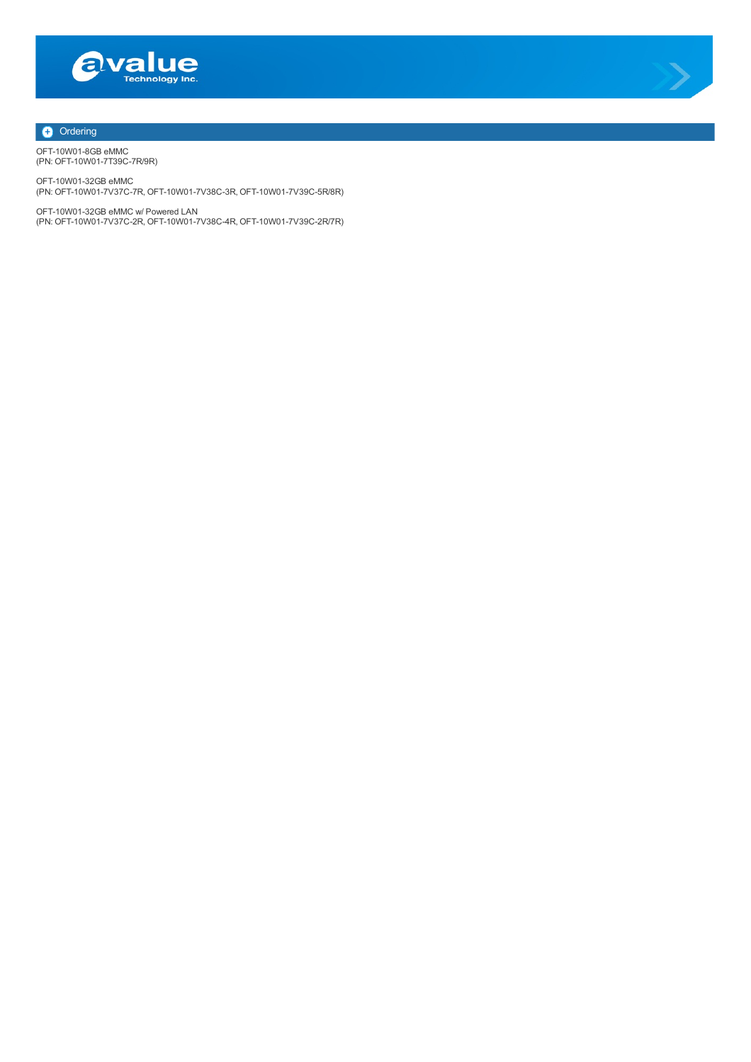



## **+** Ordering

OFT-10W01-8GB eMMC (PN: OFT-10W01-7T39C-7R/9R)

OFT-10W01-32GB eMMC (PN: OFT-10W01-7V37C-7R, OFT-10W01-7V38C-3R, OFT-10W01-7V39C-5R/8R)

OFT-10W01-32GB eMMC w/ Powered LAN (PN: OFT-10W01-7V37C-2R, OFT-10W01-7V38C-4R, OFT-10W01-7V39C-2R/7R)